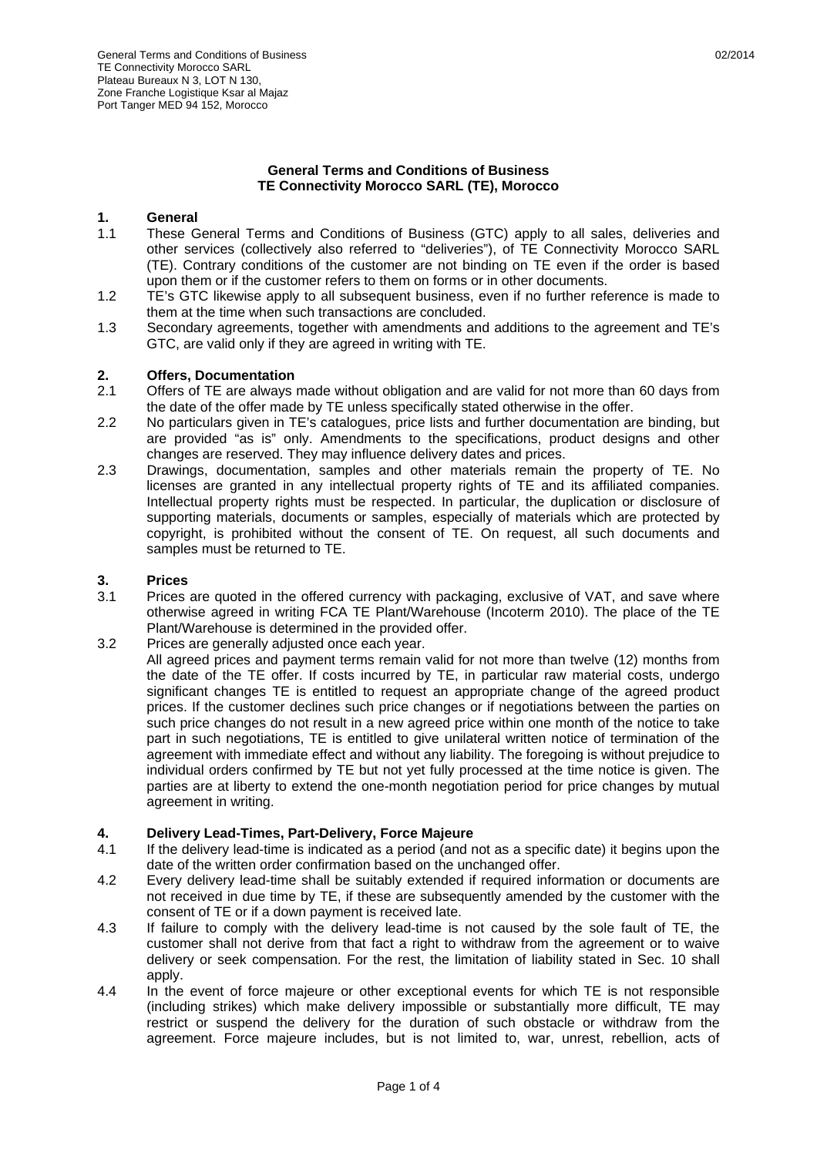## **General Terms and Conditions of Business TE Connectivity Morocco SARL (TE), Morocco**

# **1. General**<br>**1.1 These G**

- These General Terms and Conditions of Business (GTC) apply to all sales, deliveries and other services (collectively also referred to "deliveries"), of TE Connectivity Morocco SARL (TE). Contrary conditions of the customer are not binding on TE even if the order is based upon them or if the customer refers to them on forms or in other documents.
- 1.2 TE's GTC likewise apply to all subsequent business, even if no further reference is made to them at the time when such transactions are concluded.
- 1.3 Secondary agreements, together with amendments and additions to the agreement and TE's GTC, are valid only if they are agreed in writing with TE.

## **2. Offers, Documentation**

- 2.1 Offers of TE are always made without obligation and are valid for not more than 60 days from the date of the offer made by TE unless specifically stated otherwise in the offer.
- 2.2 No particulars given in TE's catalogues, price lists and further documentation are binding, but are provided "as is" only. Amendments to the specifications, product designs and other changes are reserved. They may influence delivery dates and prices.
- 2.3 Drawings, documentation, samples and other materials remain the property of TE. No licenses are granted in any intellectual property rights of TE and its affiliated companies. Intellectual property rights must be respected. In particular, the duplication or disclosure of supporting materials, documents or samples, especially of materials which are protected by copyright, is prohibited without the consent of TE. On request, all such documents and samples must be returned to TE.

#### **3. Prices**

- 3.1 Prices are quoted in the offered currency with packaging, exclusive of VAT, and save where otherwise agreed in writing FCA TE Plant/Warehouse (Incoterm 2010). The place of the TE Plant/Warehouse is determined in the provided offer.
- 3.2 Prices are generally adjusted once each year.
	- All agreed prices and payment terms remain valid for not more than twelve (12) months from the date of the TE offer. If costs incurred by TE, in particular raw material costs, undergo significant changes TE is entitled to request an appropriate change of the agreed product prices. If the customer declines such price changes or if negotiations between the parties on such price changes do not result in a new agreed price within one month of the notice to take part in such negotiations, TE is entitled to give unilateral written notice of termination of the agreement with immediate effect and without any liability. The foregoing is without prejudice to individual orders confirmed by TE but not yet fully processed at the time notice is given. The parties are at liberty to extend the one-month negotiation period for price changes by mutual agreement in writing.

#### **4. Delivery Lead-Times, Part-Delivery, Force Majeure**

- 4.1 If the delivery lead-time is indicated as a period (and not as a specific date) it begins upon the date of the written order confirmation based on the unchanged offer.
- 4.2 Every delivery lead-time shall be suitably extended if required information or documents are not received in due time by TE, if these are subsequently amended by the customer with the consent of TE or if a down payment is received late.
- 4.3 If failure to comply with the delivery lead-time is not caused by the sole fault of TE, the customer shall not derive from that fact a right to withdraw from the agreement or to waive delivery or seek compensation. For the rest, the limitation of liability stated in Sec. 10 shall apply.
- 4.4 In the event of force majeure or other exceptional events for which TE is not responsible (including strikes) which make delivery impossible or substantially more difficult, TE may restrict or suspend the delivery for the duration of such obstacle or withdraw from the agreement. Force majeure includes, but is not limited to, war, unrest, rebellion, acts of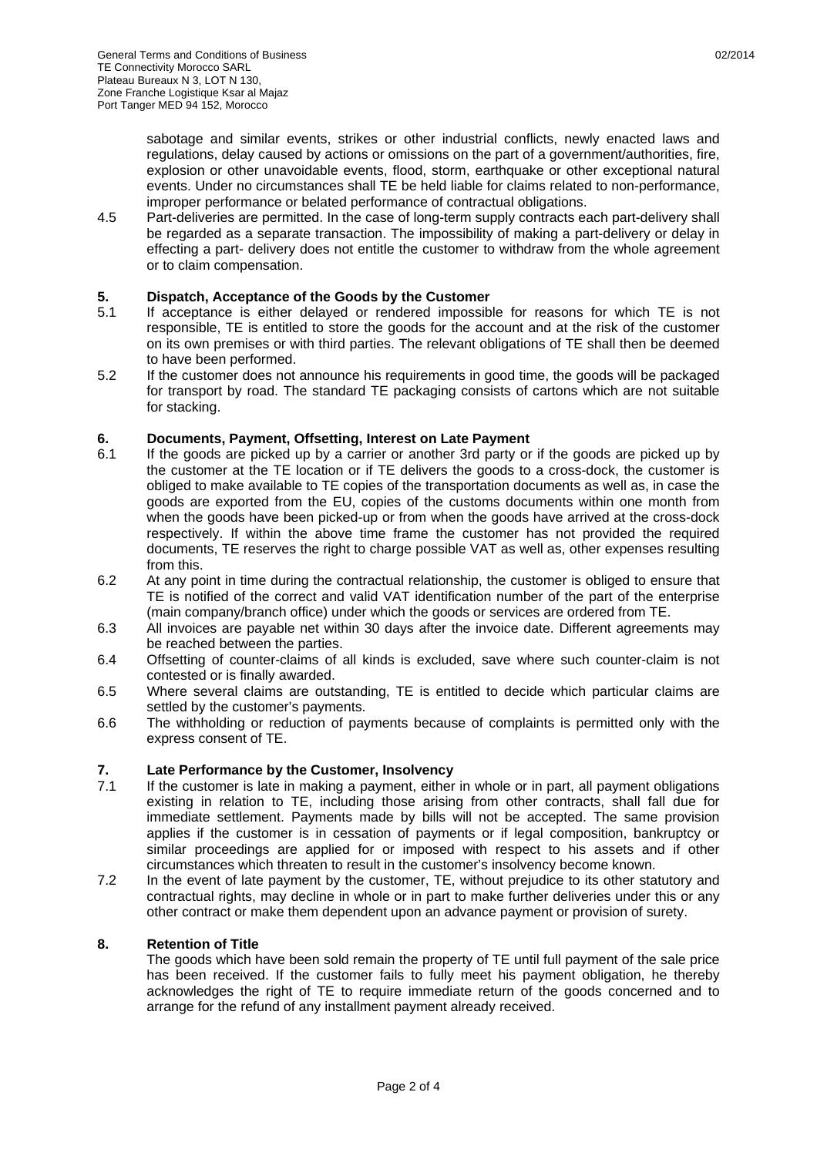sabotage and similar events, strikes or other industrial conflicts, newly enacted laws and regulations, delay caused by actions or omissions on the part of a government/authorities, fire, explosion or other unavoidable events, flood, storm, earthquake or other exceptional natural events. Under no circumstances shall TE be held liable for claims related to non-performance, improper performance or belated performance of contractual obligations.

4.5 Part-deliveries are permitted. In the case of long-term supply contracts each part-delivery shall be regarded as a separate transaction. The impossibility of making a part-delivery or delay in effecting a part- delivery does not entitle the customer to withdraw from the whole agreement or to claim compensation.

## **5. Dispatch, Acceptance of the Goods by the Customer**

- 5.1 If acceptance is either delayed or rendered impossible for reasons for which TE is not responsible, TE is entitled to store the goods for the account and at the risk of the customer on its own premises or with third parties. The relevant obligations of TE shall then be deemed to have been performed.
- 5.2 If the customer does not announce his requirements in good time, the goods will be packaged for transport by road. The standard TE packaging consists of cartons which are not suitable for stacking.

## **6. Documents, Payment, Offsetting, Interest on Late Payment**

- 6.1 If the goods are picked up by a carrier or another 3rd party or if the goods are picked up by the customer at the TE location or if TE delivers the goods to a cross-dock, the customer is obliged to make available to TE copies of the transportation documents as well as, in case the goods are exported from the EU, copies of the customs documents within one month from when the goods have been picked-up or from when the goods have arrived at the cross-dock respectively. If within the above time frame the customer has not provided the required documents, TE reserves the right to charge possible VAT as well as, other expenses resulting from this.
- 6.2 At any point in time during the contractual relationship, the customer is obliged to ensure that TE is notified of the correct and valid VAT identification number of the part of the enterprise (main company/branch office) under which the goods or services are ordered from TE.
- 6.3 All invoices are payable net within 30 days after the invoice date. Different agreements may be reached between the parties.
- 6.4 Offsetting of counter-claims of all kinds is excluded, save where such counter-claim is not contested or is finally awarded.
- 6.5 Where several claims are outstanding, TE is entitled to decide which particular claims are settled by the customer's payments.
- 6.6 The withholding or reduction of payments because of complaints is permitted only with the express consent of TE.

## **7. Late Performance by the Customer, Insolvency**

- If the customer is late in making a payment, either in whole or in part, all payment obligations existing in relation to TE, including those arising from other contracts, shall fall due for immediate settlement. Payments made by bills will not be accepted. The same provision applies if the customer is in cessation of payments or if legal composition, bankruptcy or similar proceedings are applied for or imposed with respect to his assets and if other circumstances which threaten to result in the customer's insolvency become known.
- 7.2 In the event of late payment by the customer, TE, without prejudice to its other statutory and contractual rights, may decline in whole or in part to make further deliveries under this or any other contract or make them dependent upon an advance payment or provision of surety.

#### **8. Retention of Title**

 The goods which have been sold remain the property of TE until full payment of the sale price has been received. If the customer fails to fully meet his payment obligation, he thereby acknowledges the right of TE to require immediate return of the goods concerned and to arrange for the refund of any installment payment already received.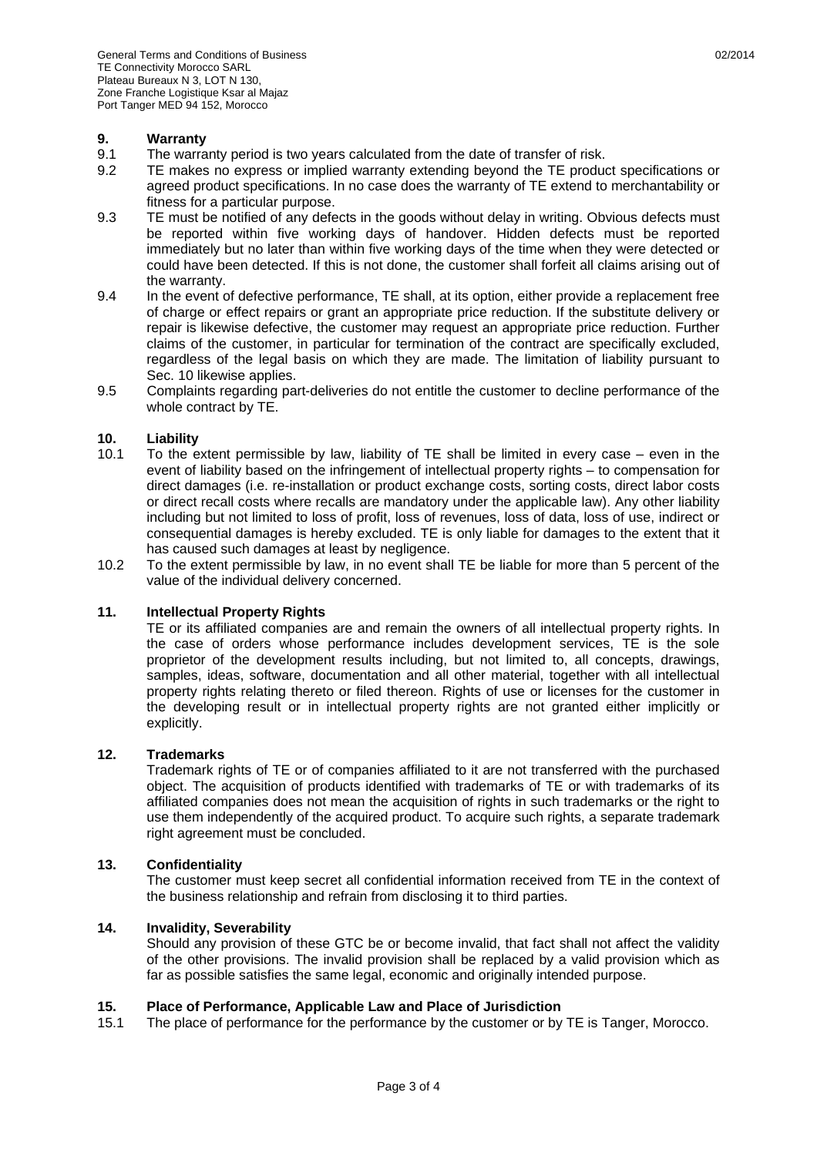#### **9. Warranty**

- 9.1 The warranty period is two years calculated from the date of transfer of risk.
- 9.2 TE makes no express or implied warranty extending beyond the TE product specifications or agreed product specifications. In no case does the warranty of TE extend to merchantability or fitness for a particular purpose.
- 9.3 TE must be notified of any defects in the goods without delay in writing. Obvious defects must be reported within five working days of handover. Hidden defects must be reported immediately but no later than within five working days of the time when they were detected or could have been detected. If this is not done, the customer shall forfeit all claims arising out of the warranty.
- 9.4 In the event of defective performance, TE shall, at its option, either provide a replacement free of charge or effect repairs or grant an appropriate price reduction. If the substitute delivery or repair is likewise defective, the customer may request an appropriate price reduction. Further claims of the customer, in particular for termination of the contract are specifically excluded, regardless of the legal basis on which they are made. The limitation of liability pursuant to Sec. 10 likewise applies.
- 9.5 Complaints regarding part-deliveries do not entitle the customer to decline performance of the whole contract by TE.

## **10. Liability**

- 10.1 To the extent permissible by law, liability of TE shall be limited in every case even in the event of liability based on the infringement of intellectual property rights – to compensation for direct damages (i.e. re-installation or product exchange costs, sorting costs, direct labor costs or direct recall costs where recalls are mandatory under the applicable law). Any other liability including but not limited to loss of profit, loss of revenues, loss of data, loss of use, indirect or consequential damages is hereby excluded. TE is only liable for damages to the extent that it has caused such damages at least by negligence.
- 10.2 To the extent permissible by law, in no event shall TE be liable for more than 5 percent of the value of the individual delivery concerned.

#### **11. Intellectual Property Rights**

 TE or its affiliated companies are and remain the owners of all intellectual property rights. In the case of orders whose performance includes development services, TE is the sole proprietor of the development results including, but not limited to, all concepts, drawings, samples, ideas, software, documentation and all other material, together with all intellectual property rights relating thereto or filed thereon. Rights of use or licenses for the customer in the developing result or in intellectual property rights are not granted either implicitly or explicitly.

#### **12. Trademarks**

 Trademark rights of TE or of companies affiliated to it are not transferred with the purchased object. The acquisition of products identified with trademarks of TE or with trademarks of its affiliated companies does not mean the acquisition of rights in such trademarks or the right to use them independently of the acquired product. To acquire such rights, a separate trademark right agreement must be concluded.

#### **13. Confidentiality**

 The customer must keep secret all confidential information received from TE in the context of the business relationship and refrain from disclosing it to third parties.

#### **14. Invalidity, Severability**

 Should any provision of these GTC be or become invalid, that fact shall not affect the validity of the other provisions. The invalid provision shall be replaced by a valid provision which as far as possible satisfies the same legal, economic and originally intended purpose.

#### **15. Place of Performance, Applicable Law and Place of Jurisdiction**

15.1 The place of performance for the performance by the customer or by TE is Tanger, Morocco.